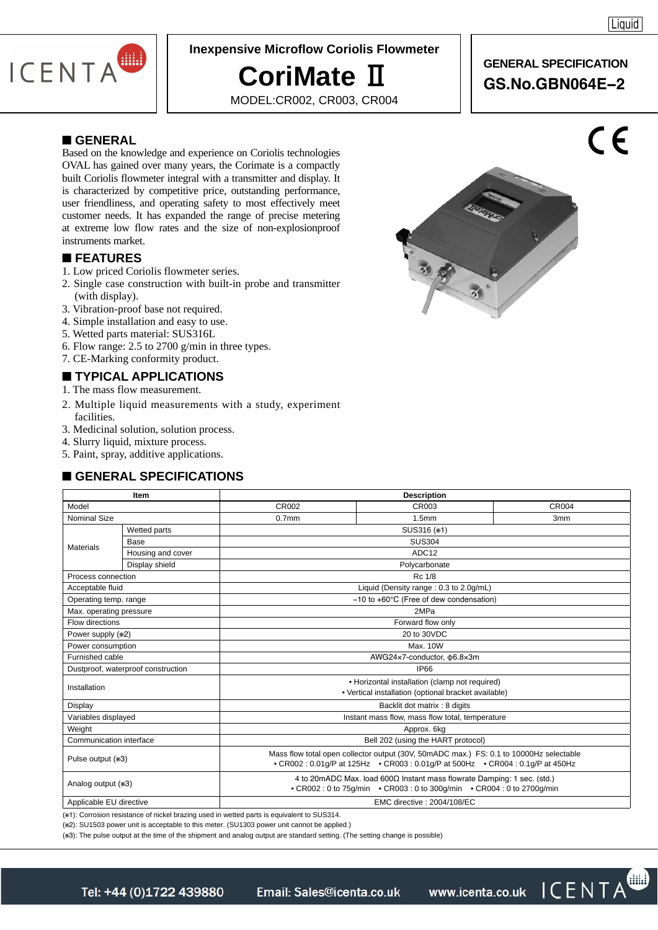

### **Inexpensive Microflow Coriolis Flowmeter**

# **CoriMate** Ⅱ

MODEL:CR002, CR003, CR004

### **GENERAL SPECIFICATION GS.No.GBN064E−2**

#### ■ **GENERAL**

Based on the knowledge and experience on Coriolis technologies OVAL has gained over many years, the Corimate is a compactly built Coriolis flowmeter integral with a transmitter and display. It is characterized by competitive price, outstanding performance, user friendliness, and operating safety to most effectively meet customer needs. It has expanded the range of precise metering at extreme low flow rates and the size of non-explosionproof instruments market.

#### ■ **FEATURES**

- 1. Low priced Coriolis flowmeter series.
- 2. Single case construction with built-in probe and transmitter (with display).
- 3. Vibration-proof base not required.
- 4. Simple installation and easy to use.
- 5. Wetted parts material: SUS316L
- 6. Flow range: 2.5 to 2700 g/min in three types.
- 7. CE-Marking conformity product.

### ■ **TYPICAL APPLICATIONS**

- 1. The mass flow measurement.
- 2. Multiple liquid measurements with a study, experiment facilities.
- 3. Medicinal solution, solution process.
- 4. Slurry liquid, mixture process.
- 5. Paint, spray, additive applications.

### ■ **GENERAL SPECIFICATIONS**

| <b>Item</b>                        |                   | <b>Description</b>                                                                                                                                                     |                                                     |                 |  |  |  |
|------------------------------------|-------------------|------------------------------------------------------------------------------------------------------------------------------------------------------------------------|-----------------------------------------------------|-----------------|--|--|--|
| Model                              |                   | CR002                                                                                                                                                                  | CR003                                               | <b>CR004</b>    |  |  |  |
| Nominal Size                       |                   | 0.7 <sub>mm</sub>                                                                                                                                                      | 1.5mm                                               | 3 <sub>mm</sub> |  |  |  |
| Materials                          | Wetted parts      | SUS316 (*1)                                                                                                                                                            |                                                     |                 |  |  |  |
|                                    | Base              | <b>SUS304</b>                                                                                                                                                          |                                                     |                 |  |  |  |
|                                    | Housing and cover | ADC <sub>12</sub>                                                                                                                                                      |                                                     |                 |  |  |  |
|                                    | Display shield    | Polycarbonate                                                                                                                                                          |                                                     |                 |  |  |  |
| Process connection                 |                   |                                                                                                                                                                        | Rc 1/8                                              |                 |  |  |  |
| Acceptable fluid                   |                   |                                                                                                                                                                        | Liquid (Density range: 0.3 to 2.0g/mL)              |                 |  |  |  |
| Operating temp. range              |                   |                                                                                                                                                                        | $-10$ to $+60^{\circ}$ C (Free of dew condensation) |                 |  |  |  |
| Max. operating pressure            |                   |                                                                                                                                                                        | 2MPa                                                |                 |  |  |  |
| Flow directions                    |                   |                                                                                                                                                                        | Forward flow only                                   |                 |  |  |  |
| Power supply (*2)                  |                   | 20 to 30VDC                                                                                                                                                            |                                                     |                 |  |  |  |
| Power consumption                  |                   | Max. 10W                                                                                                                                                               |                                                     |                 |  |  |  |
| Furnished cable                    |                   | AWG24x7-conductor, ¢6.8x3m                                                                                                                                             |                                                     |                 |  |  |  |
| Dustproof, waterproof construction |                   | IP66                                                                                                                                                                   |                                                     |                 |  |  |  |
| Installation                       |                   | • Horizontal installation (clamp not required)<br>• Vertical installation (optional bracket available)                                                                 |                                                     |                 |  |  |  |
| Display                            |                   | Backlit dot matrix: 8 digits                                                                                                                                           |                                                     |                 |  |  |  |
| Variables displayed                |                   | Instant mass flow, mass flow total, temperature                                                                                                                        |                                                     |                 |  |  |  |
| Weight                             |                   | Approx. 6kg                                                                                                                                                            |                                                     |                 |  |  |  |
| Communication interface            |                   | Bell 202 (using the HART protocol)                                                                                                                                     |                                                     |                 |  |  |  |
| Pulse output (*3)                  |                   | Mass flow total open collector output (30V, 50mADC max.) FS: 0.1 to 10000Hz selectable<br>• CR002: 0.01q/P at 125Hz • CR003: 0.01q/P at 500Hz • CR004: 0.1q/P at 450Hz |                                                     |                 |  |  |  |
| Analog output (*3)                 |                   | 4 to 20mADC Max. load $600\Omega$ Instant mass flowrate Damping: 1 sec. (std.)<br>• CR002: 0 to 75q/min • CR003: 0 to 300q/min • CR004: 0 to 2700q/min                 |                                                     |                 |  |  |  |
| Applicable EU directive            |                   | EMC directive: 2004/108/EC                                                                                                                                             |                                                     |                 |  |  |  |

(※1): Corrosion resistance of nickel brazing used in wetted parts is equivalent to SUS314.

(※2): SU1503 power unit is acceptable to this meter. (SU1303 power unit cannot be applied.)

(※3): The pulse output at the time of the shipment and analog output are standard setting. (The setting change is possible)



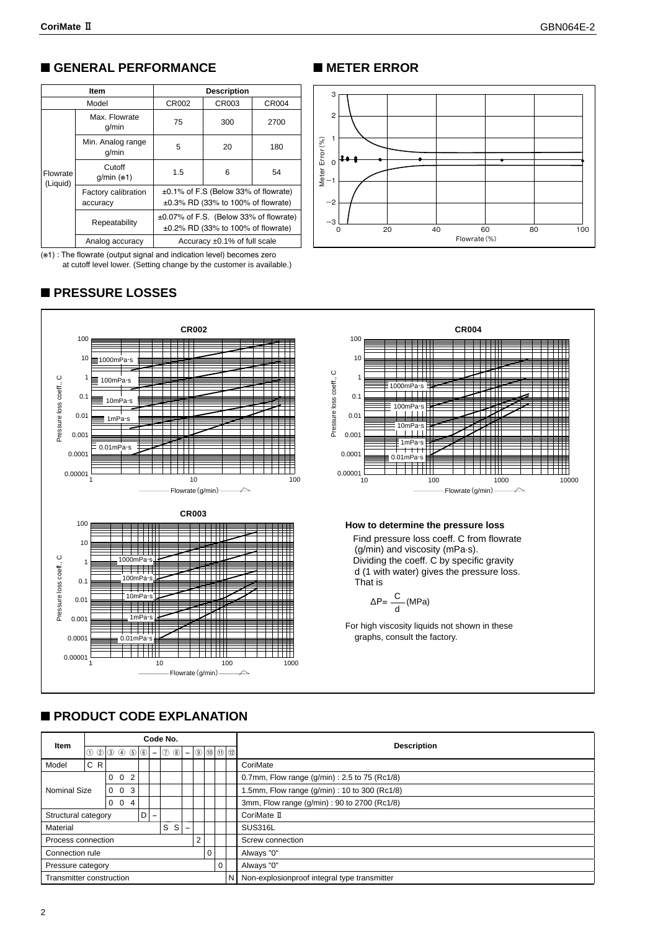### ■ **GENERAL PERFORMANCE**

|                      | <b>Item</b>                     | <b>Description</b>                                                                       |       |       |  |  |
|----------------------|---------------------------------|------------------------------------------------------------------------------------------|-------|-------|--|--|
|                      | Model                           | CR002                                                                                    | CR003 | CR004 |  |  |
|                      | Max. Flowrate<br>q/min          | 75                                                                                       | 300   | 2700  |  |  |
|                      | Min. Analog range<br>q/min      | 5                                                                                        | 20    | 180   |  |  |
| Flowrate<br>(Liquid) | Cutoff<br>$q/min$ ( $*1$ )      | 1.5                                                                                      | 6     | 54    |  |  |
|                      | Factory calibration<br>accuracy | ±0.1% of F.S (Below 33% of flowrate)<br>$\pm 0.3\%$ RD (33% to 100% of flowrate)         |       |       |  |  |
|                      | Repeatability                   | $\pm 0.07\%$ of F.S. (Below 33% of flowrate)<br>$\pm 0.2\%$ RD (33% to 100% of flowrate) |       |       |  |  |
|                      | Analog accuracy                 | Accuracy $\pm 0.1\%$ of full scale                                                       |       |       |  |  |

(※1) : The flowrate (output signal and indication level) becomes zero at cutoff level lower. (Setting change by the customer is available.)

### ■ **PRESSURE LOSSES**

### ■ **METER ERROR**





### ■ **PRODUCT CODE EXPLANATION**

| Item                     |      | Code No. |                   |                                                                                        |                  |  |   |                                                 |                          |             |  |  | <b>Description</b>                            |  |  |  |
|--------------------------|------|----------|-------------------|----------------------------------------------------------------------------------------|------------------|--|---|-------------------------------------------------|--------------------------|-------------|--|--|-----------------------------------------------|--|--|--|
|                          |      |          |                   | $\mid 0 0 \mid 0 0 0 0 \mid 0 \mid - \mid 0 0 \mid - \mid 0 \mid 0 \mid 0 \mid 0 \mid$ |                  |  |   |                                                 |                          |             |  |  |                                               |  |  |  |
| Model                    | C RI |          |                   |                                                                                        |                  |  |   |                                                 |                          |             |  |  | CoriMate                                      |  |  |  |
| $0 \quad 0 \quad 2$      |      |          |                   |                                                                                        |                  |  |   | 0.7mm, Flow range $(g/min)$ : 2.5 to 75 (Rc1/8) |                          |             |  |  |                                               |  |  |  |
| Nominal Size             |      |          |                   | $0 \t0 \t3$                                                                            |                  |  |   |                                                 |                          |             |  |  | 1.5mm, Flow range (g/min) : 10 to 300 (Rc1/8) |  |  |  |
|                          |      |          |                   | $0 \t0 \t4$                                                                            |                  |  |   |                                                 |                          |             |  |  | 3mm, Flow range (g/min): 90 to 2700 (Rc1/8)   |  |  |  |
| Structural category      |      | D        | $\qquad \qquad -$ |                                                                                        |                  |  |   |                                                 |                          | CoriMate II |  |  |                                               |  |  |  |
| Material                 |      |          |                   |                                                                                        |                  |  | S | s l                                             | $\overline{\phantom{m}}$ |             |  |  | SUS316L                                       |  |  |  |
| Process connection       |      | 2        |                   |                                                                                        | Screw connection |  |   |                                                 |                          |             |  |  |                                               |  |  |  |
| Connection rule<br>0     |      |          |                   | Always "0"                                                                             |                  |  |   |                                                 |                          |             |  |  |                                               |  |  |  |
| Pressure category        |      | 0        | Always "0"        |                                                                                        |                  |  |   |                                                 |                          |             |  |  |                                               |  |  |  |
| Transmitter construction |      |          |                   |                                                                                        |                  |  |   |                                                 |                          |             |  |  | Non-explosionproof integral type transmitter  |  |  |  |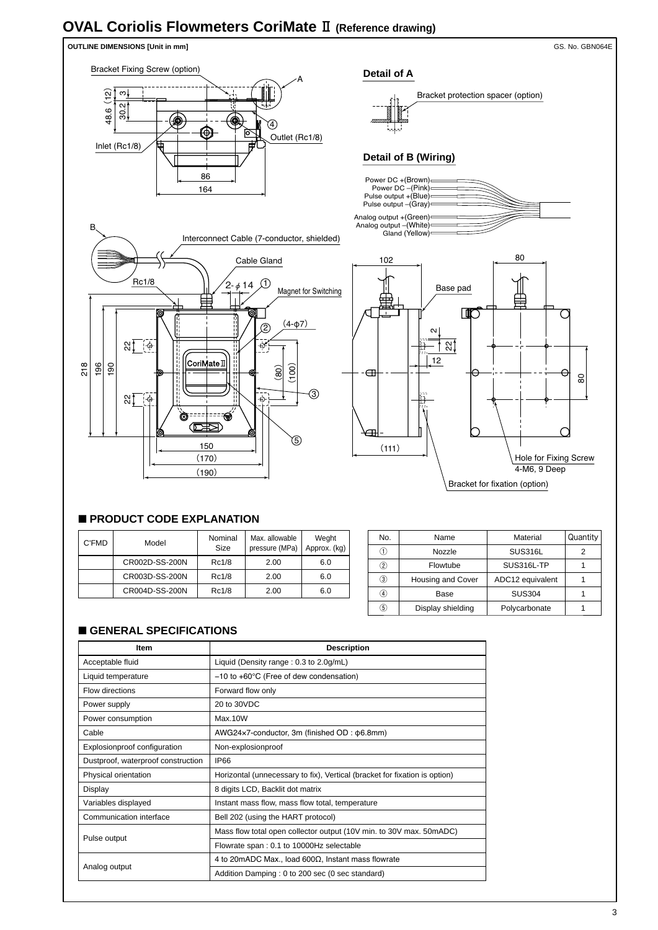## **OVAL Coriolis Flowmeters CoriMate** Ⅱ **(Reference drawing)**



### ■ **PRODUCT CODE EXPLANATION**

| C'FMD | Model          | Nominal<br>Size | Max. allowable<br>pressure (MPa) | Weght<br>Approx. (kg) |
|-------|----------------|-----------------|----------------------------------|-----------------------|
|       | CR002D-SS-200N | Rc1/8           | 2.00                             | 6.0                   |
|       | CR003D-SS-200N | Rc1/8           | 2.00                             | 6.0                   |
|       | CR004D-SS-200N | Rc1/8           | 2.00                             | 6.0                   |

| No.              | Name                     | Material         | Quantity |
|------------------|--------------------------|------------------|----------|
| 1.               | Nozzle                   | <b>SUS316L</b>   | 2        |
| 2)               | Flowtube                 | SUS316L-TP       |          |
| 3)               | <b>Housing and Cover</b> | ADC12 equivalent |          |
| $\left(4\right)$ | Base                     | <b>SUS304</b>    |          |
| 5)               | Display shielding        | Polycarbonate    |          |

#### ■ **GENERAL SPECIFICATIONS**

| <b>Item</b>                        | <b>Description</b>                                                         |  |  |  |
|------------------------------------|----------------------------------------------------------------------------|--|--|--|
| Acceptable fluid                   | Liquid (Density range: 0.3 to 2.0g/mL)                                     |  |  |  |
| Liquid temperature                 | $-10$ to $+60^{\circ}$ C (Free of dew condensation)                        |  |  |  |
| <b>Flow directions</b>             | Forward flow only                                                          |  |  |  |
| Power supply                       | 20 to 30VDC                                                                |  |  |  |
| Power consumption                  | Max.10W                                                                    |  |  |  |
| Cable                              | AWG24x7-conductor, 3m (finished OD: φ6.8mm)                                |  |  |  |
| Explosionproof configuration       | Non-explosionproof                                                         |  |  |  |
| Dustproof, waterproof construction | IP66                                                                       |  |  |  |
| Physical orientation               | Horizontal (unnecessary to fix), Vertical (bracket for fixation is option) |  |  |  |
| Display                            | 8 digits LCD, Backlit dot matrix                                           |  |  |  |
| Variables displayed                | Instant mass flow, mass flow total, temperature                            |  |  |  |
| Communication interface            | Bell 202 (using the HART protocol)                                         |  |  |  |
|                                    | Mass flow total open collector output (10V min. to 30V max. 50mADC)        |  |  |  |
| Pulse output                       | Flowrate span: 0.1 to 10000Hz selectable                                   |  |  |  |
|                                    | 4 to 20mADC Max., load $600\Omega$ , Instant mass flowrate                 |  |  |  |
| Analog output                      | Addition Damping: 0 to 200 sec (0 sec standard)                            |  |  |  |